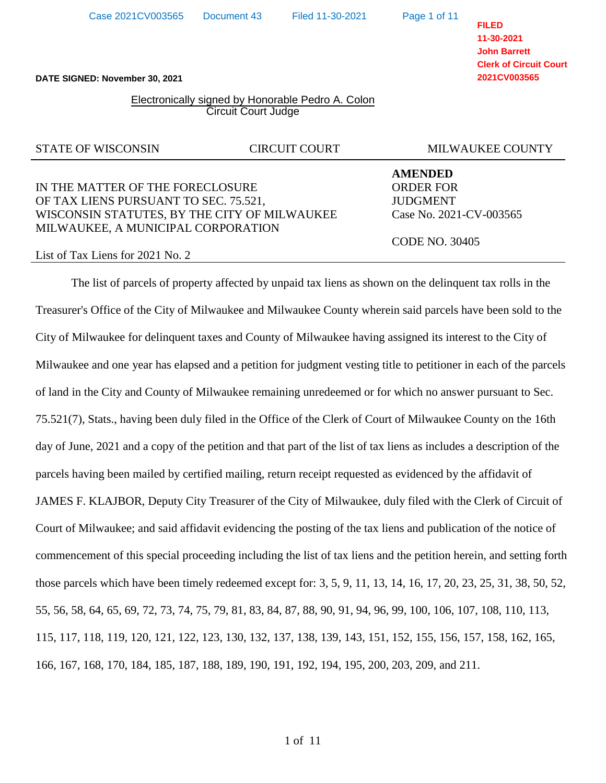**DATE SIGNED: November 30, 2021**

## Electronically signed by Honorable Pedro A. Colon Circuit Court Judge

## IN THE MATTER OF THE FORECLOSURE ORDER FOR OF TAX LIENS PURSUANT TO SEC. 75.521, JUDGMENT WISCONSIN STATUTES, BY THE CITY OF MILWAUKEE Case No. 2021-CV-003565 MILWAUKEE, A MUNICIPAL CORPORATION

List of Tax Liens for 2021 No. 2

The list of parcels of property affected by unpaid tax liens as shown on the delinquent tax rolls in the Treasurer's Office of the City of Milwaukee and Milwaukee County wherein said parcels have been sold to the City of Milwaukee for delinquent taxes and County of Milwaukee having assigned its interest to the City of Milwaukee and one year has elapsed and a petition for judgment vesting title to petitioner in each of the parcels of land in the City and County of Milwaukee remaining unredeemed or for which no answer pursuant to Sec. 75.521(7), Stats., having been duly filed in the Office of the Clerk of Court of Milwaukee County on the 16th day of June, 2021 and a copy of the petition and that part of the list of tax liens as includes a description of the parcels having been mailed by certified mailing, return receipt requested as evidenced by the affidavit of JAMES F. KLAJBOR, Deputy City Treasurer of the City of Milwaukee, duly filed with the Clerk of Circuit of Court of Milwaukee; and said affidavit evidencing the posting of the tax liens and publication of the notice of commencement of this special proceeding including the list of tax liens and the petition herein, and setting forth those parcels which have been timely redeemed except for: 3, 5, 9, 11, 13, 14, 16, 17, 20, 23, 25, 31, 38, 50, 52, 55, 56, 58, 64, 65, 69, 72, 73, 74, 75, 79, 81, 83, 84, 87, 88, 90, 91, 94, 96, 99, 100, 106, 107, 108, 110, 113, 115, 117, 118, 119, 120, 121, 122, 123, 130, 132, 137, 138, 139, 143, 151, 152, 155, 156, 157, 158, 162, 165, 166, 167, 168, 170, 184, 185, 187, 188, 189, 190, 191, 192, 194, 195, 200, 203, 209, and 211.

**FILED 11-30-2021 John Barrett Clerk of Circuit Court 2021CV003565**

STATE OF WISCONSIN CIRCUIT COURT MILWAUKEE COUNTY

**AMENDED**

CODE NO. 30405

Page 1 of 11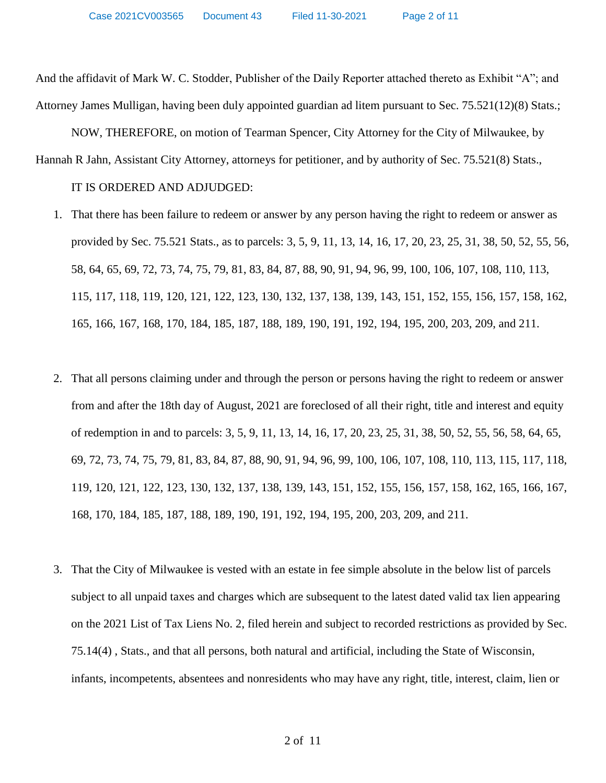And the affidavit of Mark W. C. Stodder, Publisher of the Daily Reporter attached thereto as Exhibit "A"; and Attorney James Mulligan, having been duly appointed guardian ad litem pursuant to Sec. 75.521(12)(8) Stats.;

NOW, THEREFORE, on motion of Tearman Spencer, City Attorney for the City of Milwaukee, by Hannah R Jahn, Assistant City Attorney, attorneys for petitioner, and by authority of Sec. 75.521(8) Stats.,

IT IS ORDERED AND ADJUDGED:

- 1. That there has been failure to redeem or answer by any person having the right to redeem or answer as provided by Sec. 75.521 Stats., as to parcels: 3, 5, 9, 11, 13, 14, 16, 17, 20, 23, 25, 31, 38, 50, 52, 55, 56, 58, 64, 65, 69, 72, 73, 74, 75, 79, 81, 83, 84, 87, 88, 90, 91, 94, 96, 99, 100, 106, 107, 108, 110, 113, 115, 117, 118, 119, 120, 121, 122, 123, 130, 132, 137, 138, 139, 143, 151, 152, 155, 156, 157, 158, 162, 165, 166, 167, 168, 170, 184, 185, 187, 188, 189, 190, 191, 192, 194, 195, 200, 203, 209, and 211.
- 2. That all persons claiming under and through the person or persons having the right to redeem or answer from and after the 18th day of August, 2021 are foreclosed of all their right, title and interest and equity of redemption in and to parcels: 3, 5, 9, 11, 13, 14, 16, 17, 20, 23, 25, 31, 38, 50, 52, 55, 56, 58, 64, 65, 69, 72, 73, 74, 75, 79, 81, 83, 84, 87, 88, 90, 91, 94, 96, 99, 100, 106, 107, 108, 110, 113, 115, 117, 118, 119, 120, 121, 122, 123, 130, 132, 137, 138, 139, 143, 151, 152, 155, 156, 157, 158, 162, 165, 166, 167, 168, 170, 184, 185, 187, 188, 189, 190, 191, 192, 194, 195, 200, 203, 209, and 211.
- 3. That the City of Milwaukee is vested with an estate in fee simple absolute in the below list of parcels subject to all unpaid taxes and charges which are subsequent to the latest dated valid tax lien appearing on the 2021 List of Tax Liens No. 2, filed herein and subject to recorded restrictions as provided by Sec. 75.14(4) , Stats., and that all persons, both natural and artificial, including the State of Wisconsin, infants, incompetents, absentees and nonresidents who may have any right, title, interest, claim, lien or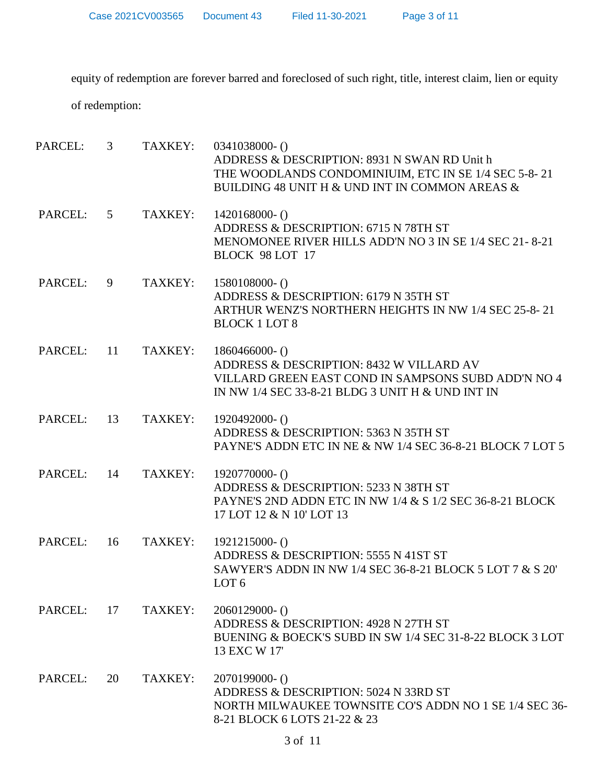Case 2021CV003565 Document 43 Filed 11-30-2021 Page 3 of 11

equity of redemption are forever barred and foreclosed of such right, title, interest claim, lien or equity

of redemption:

| PARCEL:    | $\mathfrak{Z}$  | TAXKEY: | $0341038000 - ()$<br>ADDRESS & DESCRIPTION: 8931 N SWAN RD Unit h<br>THE WOODLANDS CONDOMINIUIM, ETC IN SE 1/4 SEC 5-8-21<br>BUILDING 48 UNIT H & UND INT IN COMMON AREAS & |
|------------|-----------------|---------|-----------------------------------------------------------------------------------------------------------------------------------------------------------------------------|
| PARCEL:    | $5\overline{)}$ | TAXKEY: | $1420168000 - ()$<br>ADDRESS & DESCRIPTION: 6715 N 78TH ST<br>MENOMONEE RIVER HILLS ADD'N NO 3 IN SE 1/4 SEC 21-8-21<br>BLOCK 98 LOT 17                                     |
| PARCEL:    | 9               | TAXKEY: | $1580108000 - ()$<br>ADDRESS & DESCRIPTION: 6179 N 35TH ST<br>ARTHUR WENZ'S NORTHERN HEIGHTS IN NW 1/4 SEC 25-8-21<br><b>BLOCK 1 LOT 8</b>                                  |
| PARCEL:    | - 11            | TAXKEY: | $1860466000 - ()$<br>ADDRESS & DESCRIPTION: 8432 W VILLARD AV<br>VILLARD GREEN EAST COND IN SAMPSONS SUBD ADD'N NO 4<br>IN NW 1/4 SEC 33-8-21 BLDG 3 UNIT H & UND INT IN    |
| PARCEL: 13 |                 | TAXKEY: | 1920492000-()<br>ADDRESS & DESCRIPTION: 5363 N 35TH ST<br>PAYNE'S ADDN ETC IN NE & NW 1/4 SEC 36-8-21 BLOCK 7 LOT 5                                                         |
| PARCEL:    | 14              | TAXKEY: | 1920770000-()<br>ADDRESS & DESCRIPTION: 5233 N 38TH ST<br>PAYNE'S 2ND ADDN ETC IN NW 1/4 & S 1/2 SEC 36-8-21 BLOCK<br>17 LOT 12 & N 10' LOT 13                              |
| PARCEL:    | 16              | TAXKEY: | $1921215000 - ()$<br>ADDRESS & DESCRIPTION: 5555 N 41ST ST<br>SAWYER'S ADDN IN NW 1/4 SEC 36-8-21 BLOCK 5 LOT 7 & S 20'<br>LOT 6                                            |
| PARCEL:    | 17              | TAXKEY: | $2060129000 - ()$<br>ADDRESS & DESCRIPTION: 4928 N 27TH ST<br>BUENING & BOECK'S SUBD IN SW 1/4 SEC 31-8-22 BLOCK 3 LOT<br>13 EXC W 17                                       |
| PARCEL:    | 20              | TAXKEY: | $2070199000 - ()$<br>ADDRESS & DESCRIPTION: 5024 N 33RD ST<br>NORTH MILWAUKEE TOWNSITE CO'S ADDN NO 1 SE 1/4 SEC 36-<br>8-21 BLOCK 6 LOTS 21-22 & 23                        |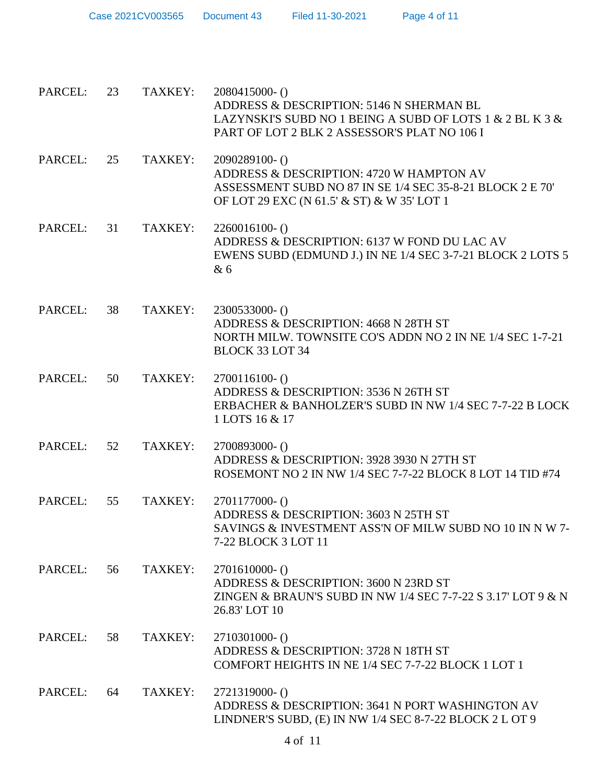| Case 2021CV003565 | Document 43 | Filed 11-30-2021 | Page 4 of 11 |
|-------------------|-------------|------------------|--------------|
|-------------------|-------------|------------------|--------------|

| PARCEL: | 23 | TAXKEY: | 2080415000-()<br>ADDRESS & DESCRIPTION: 5146 N SHERMAN BL<br>LAZYNSKI'S SUBD NO 1 BEING A SUBD OF LOTS 1 & 2 BL K 3 &<br>PART OF LOT 2 BLK 2 ASSESSOR'S PLAT NO 106 I |
|---------|----|---------|-----------------------------------------------------------------------------------------------------------------------------------------------------------------------|
| PARCEL: | 25 | TAXKEY: | 2090289100-()<br>ADDRESS & DESCRIPTION: 4720 W HAMPTON AV<br>ASSESSMENT SUBD NO 87 IN SE 1/4 SEC 35-8-21 BLOCK 2 E 70'<br>OF LOT 29 EXC (N 61.5' & ST) & W 35' LOT 1  |
| PARCEL: | 31 | TAXKEY: | $2260016100 -$ ()<br>ADDRESS & DESCRIPTION: 6137 W FOND DU LAC AV<br>EWENS SUBD (EDMUND J.) IN NE 1/4 SEC 3-7-21 BLOCK 2 LOTS 5<br>& 6                                |
| PARCEL: | 38 | TAXKEY: | 2300533000-()<br>ADDRESS & DESCRIPTION: 4668 N 28TH ST<br>NORTH MILW. TOWNSITE CO'S ADDN NO 2 IN NE 1/4 SEC 1-7-21<br><b>BLOCK 33 LOT 34</b>                          |
| PARCEL: | 50 | TAXKEY: | $2700116100 - ()$<br>ADDRESS & DESCRIPTION: 3536 N 26TH ST<br>ERBACHER & BANHOLZER'S SUBD IN NW 1/4 SEC 7-7-22 B LOCK<br>1 LOTS 16 & 17                               |
| PARCEL: | 52 | TAXKEY: | 2700893000-()<br>ADDRESS & DESCRIPTION: 3928 3930 N 27TH ST<br>ROSEMONT NO 2 IN NW 1/4 SEC 7-7-22 BLOCK 8 LOT 14 TID #74                                              |
| PARCEL: | 55 | TAXKEY: | 2701177000-()<br>ADDRESS & DESCRIPTION: 3603 N 25TH ST<br>SAVINGS & INVESTMENT ASS'N OF MILW SUBD NO 10 IN N W 7-<br>7-22 BLOCK 3 LOT 11                              |
| PARCEL: | 56 | TAXKEY: | $2701610000-()$<br>ADDRESS & DESCRIPTION: 3600 N 23RD ST<br>ZINGEN & BRAUN'S SUBD IN NW 1/4 SEC 7-7-22 S 3.17' LOT 9 & N<br>26.83' LOT 10                             |
| PARCEL: | 58 | TAXKEY: | 2710301000- ()<br>ADDRESS & DESCRIPTION: 3728 N 18TH ST<br>COMFORT HEIGHTS IN NE 1/4 SEC 7-7-22 BLOCK 1 LOT 1                                                         |
| PARCEL: | 64 | TAXKEY: | 2721319000-()<br>ADDRESS & DESCRIPTION: 3641 N PORT WASHINGTON AV<br>LINDNER'S SUBD, (E) IN NW 1/4 SEC 8-7-22 BLOCK 2 L OT 9                                          |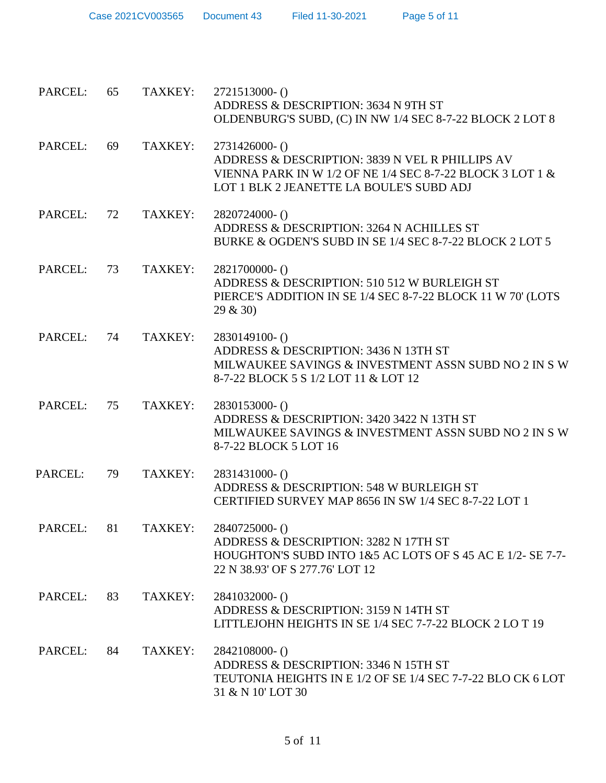| Case 2021CV003565 | Document 43 | Filed 11-30-2021 |
|-------------------|-------------|------------------|
|                   |             |                  |

| PARCEL:        | 65 | TAXKEY:            | 2721513000-()<br>ADDRESS & DESCRIPTION: 3634 N 9TH ST<br>OLDENBURG'S SUBD, (C) IN NW 1/4 SEC 8-7-22 BLOCK 2 LOT 8                                                          |
|----------------|----|--------------------|----------------------------------------------------------------------------------------------------------------------------------------------------------------------------|
| PARCEL:        | 69 | TAXKEY:            | 2731426000- ()<br>ADDRESS & DESCRIPTION: 3839 N VEL R PHILLIPS AV<br>VIENNA PARK IN W 1/2 OF NE 1/4 SEC 8-7-22 BLOCK 3 LOT 1 &<br>LOT 1 BLK 2 JEANETTE LA BOULE'S SUBD ADJ |
| PARCEL:        | 72 | TAXKEY:            | 2820724000- ()<br>ADDRESS & DESCRIPTION: 3264 N ACHILLES ST<br>BURKE & OGDEN'S SUBD IN SE 1/4 SEC 8-7-22 BLOCK 2 LOT 5                                                     |
| PARCEL:        | 73 | TAXKEY:            | 2821700000-()<br>ADDRESS & DESCRIPTION: 510 512 W BURLEIGH ST<br>PIERCE'S ADDITION IN SE 1/4 SEC 8-7-22 BLOCK 11 W 70' (LOTS<br>29 & 30)                                   |
| PARCEL:        | 74 | TAXKEY:            | 2830149100-()<br>ADDRESS & DESCRIPTION: 3436 N 13TH ST<br>MILWAUKEE SAVINGS & INVESTMENT ASSN SUBD NO 2 IN S W<br>8-7-22 BLOCK 5 S 1/2 LOT 11 & LOT 12                     |
| PARCEL:        | 75 | TAXKEY:            | 2830153000- ()<br>ADDRESS & DESCRIPTION: 3420 3422 N 13TH ST<br>MILWAUKEE SAVINGS & INVESTMENT ASSN SUBD NO 2 IN S W<br>8-7-22 BLOCK 5 LOT 16                              |
| <b>PARCEL:</b> | 79 | TAXKEY:            | 2831431000-()<br>ADDRESS & DESCRIPTION: 548 W BURLEIGH ST<br>CERTIFIED SURVEY MAP 8656 IN SW 1/4 SEC 8-7-22 LOT 1                                                          |
|                |    | PARCEL: 81 TAXKEY: | $2840725000-()$<br>ADDRESS & DESCRIPTION: 3282 N 17TH ST<br>HOUGHTON'S SUBD INTO 1&5 AC LOTS OF S 45 AC E 1/2- SE 7-7-<br>22 N 38.93' OF S 277.76' LOT 12                  |
| PARCEL:        | 83 | TAXKEY:            | 2841032000-()<br>ADDRESS & DESCRIPTION: 3159 N 14TH ST<br>LITTLEJOHN HEIGHTS IN SE 1/4 SEC 7-7-22 BLOCK 2 LO T 19                                                          |
| PARCEL:        | 84 | TAXKEY:            | 2842108000-()<br>ADDRESS & DESCRIPTION: 3346 N 15TH ST<br>TEUTONIA HEIGHTS IN E 1/2 OF SE 1/4 SEC 7-7-22 BLO CK 6 LOT<br>31 & N 10' LOT 30                                 |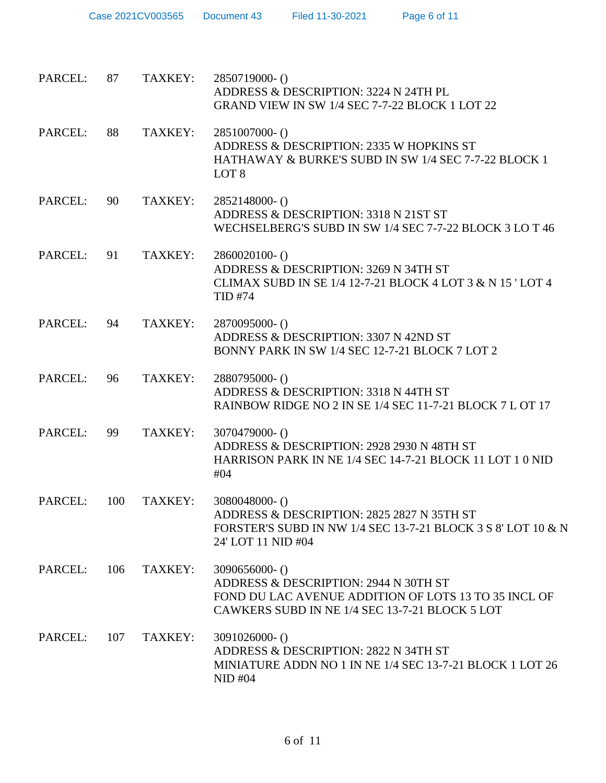| PARCEL: | 87  | TAXKEY: | 2850719000-()<br>ADDRESS & DESCRIPTION: 3224 N 24TH PL<br>GRAND VIEW IN SW 1/4 SEC 7-7-22 BLOCK 1 LOT 22                                                             |
|---------|-----|---------|----------------------------------------------------------------------------------------------------------------------------------------------------------------------|
| PARCEL: | 88  | TAXKEY: | 2851007000-()<br>ADDRESS & DESCRIPTION: 2335 W HOPKINS ST<br>HATHAWAY & BURKE'S SUBD IN SW 1/4 SEC 7-7-22 BLOCK 1<br>LOT <sub>8</sub>                                |
| PARCEL: | 90  | TAXKEY: | 2852148000- ()<br>ADDRESS & DESCRIPTION: 3318 N 21ST ST<br>WECHSELBERG'S SUBD IN SW 1/4 SEC 7-7-22 BLOCK 3 LO T 46                                                   |
| PARCEL: | 91  | TAXKEY: | $2860020100 - ()$<br>ADDRESS & DESCRIPTION: 3269 N 34TH ST<br>CLIMAX SUBD IN SE $1/4$ 12-7-21 BLOCK 4 LOT 3 & N 15 'LOT 4<br><b>TID #74</b>                          |
| PARCEL: | 94  | TAXKEY: | 2870095000-()<br>ADDRESS & DESCRIPTION: 3307 N 42ND ST<br>BONNY PARK IN SW 1/4 SEC 12-7-21 BLOCK 7 LOT 2                                                             |
| PARCEL: | 96  | TAXKEY: | 2880795000-()<br>ADDRESS & DESCRIPTION: 3318 N 44TH ST<br>RAINBOW RIDGE NO 2 IN SE 1/4 SEC 11-7-21 BLOCK 7 L OT 17                                                   |
| PARCEL: | 99  | TAXKEY: | 3070479000-()<br>ADDRESS & DESCRIPTION: 2928 2930 N 48TH ST<br>HARRISON PARK IN NE 1/4 SEC 14-7-21 BLOCK 11 LOT 1 0 NID<br>#04                                       |
| PARCEL: | 100 | TAXKEY: | 3080048000-()<br>ADDRESS & DESCRIPTION: 2825 2827 N 35TH ST<br>FORSTER'S SUBD IN NW 1/4 SEC 13-7-21 BLOCK 3 S 8' LOT 10 & N<br>24' LOT 11 NID #04                    |
| PARCEL: | 106 | TAXKEY: | $3090656000 - ()$<br>ADDRESS & DESCRIPTION: 2944 N 30TH ST<br>FOND DU LAC AVENUE ADDITION OF LOTS 13 TO 35 INCL OF<br>CAWKERS SUBD IN NE 1/4 SEC 13-7-21 BLOCK 5 LOT |
| PARCEL: | 107 | TAXKEY: | $3091026000 - ()$<br>ADDRESS & DESCRIPTION: 2822 N 34TH ST<br>MINIATURE ADDN NO 1 IN NE 1/4 SEC 13-7-21 BLOCK 1 LOT 26<br>$NID$ #04                                  |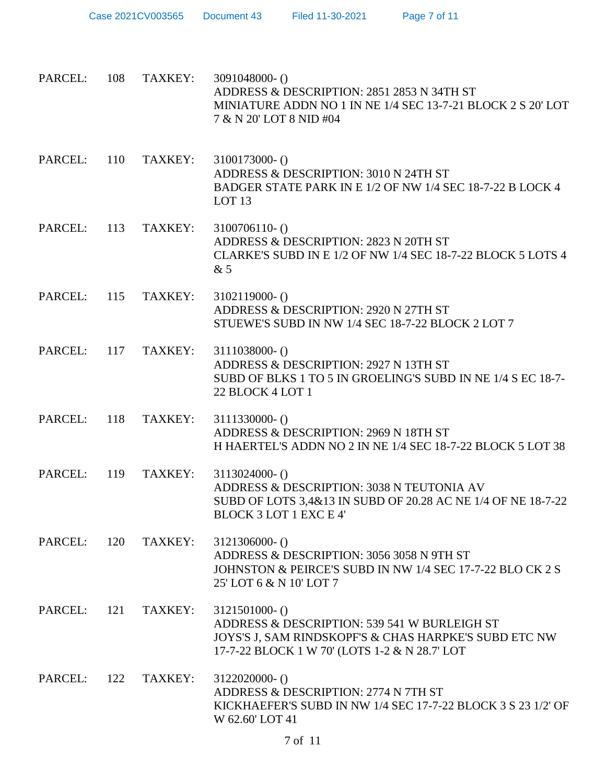| PARCEL: 108 |     | TAXKEY: | 3091048000-()<br>ADDRESS & DESCRIPTION: 2851 2853 N 34TH ST<br>MINIATURE ADDN NO 1 IN NE 1/4 SEC 13-7-21 BLOCK 2 S 20' LOT<br>7 & N 20' LOT 8 NID #04                       |
|-------------|-----|---------|-----------------------------------------------------------------------------------------------------------------------------------------------------------------------------|
| PARCEL: 110 |     | TAXKEY: | 3100173000- ()<br>ADDRESS & DESCRIPTION: 3010 N 24TH ST<br>BADGER STATE PARK IN E 1/2 OF NW 1/4 SEC 18-7-22 B LOCK 4<br>LOT <sub>13</sub>                                   |
| PARCEL:     | 113 | TAXKEY: | $3100706110 - ()$<br>ADDRESS & DESCRIPTION: 2823 N 20TH ST<br>CLARKE'S SUBD IN E 1/2 OF NW 1/4 SEC 18-7-22 BLOCK 5 LOTS 4<br>&5                                             |
| PARCEL: 115 |     | TAXKEY: | $3102119000 - ()$<br>ADDRESS & DESCRIPTION: 2920 N 27TH ST<br>STUEWE'S SUBD IN NW 1/4 SEC 18-7-22 BLOCK 2 LOT 7                                                             |
| PARCEL: 117 |     | TAXKEY: | $3111038000 - ()$<br>ADDRESS & DESCRIPTION: 2927 N 13TH ST<br>SUBD OF BLKS 1 TO 5 IN GROELING'S SUBD IN NE 1/4 S EC 18-7-<br>22 BLOCK 4 LOT 1                               |
| PARCEL: 118 |     | TAXKEY: | $3111330000 - ()$<br>ADDRESS & DESCRIPTION: 2969 N 18TH ST<br>H HAERTEL'S ADDN NO 2 IN NE 1/4 SEC 18-7-22 BLOCK 5 LOT 38                                                    |
| PARCEL:     | 119 | TAXKEY: | $3113024000 - ()$<br>ADDRESS & DESCRIPTION: 3038 N TEUTONIA AV<br>SUBD OF LOTS 3,4&13 IN SUBD OF 20.28 AC NE 1/4 OF NE 18-7-22<br><b>BLOCK 3 LOT 1 EXC E 4'</b>             |
| PARCEL:     | 120 | TAXKEY: | $3121306000 - ()$<br>ADDRESS & DESCRIPTION: 3056 3058 N 9TH ST<br>JOHNSTON & PEIRCE'S SUBD IN NW 1/4 SEC 17-7-22 BLO CK 2 S<br>25' LOT 6 & N 10' LOT 7                      |
| PARCEL:     | 121 | TAXKEY: | $3121501000 - ()$<br>ADDRESS & DESCRIPTION: 539 541 W BURLEIGH ST<br>JOYS'S J, SAM RINDSKOPF'S & CHAS HARPKE'S SUBD ETC NW<br>17-7-22 BLOCK 1 W 70' (LOTS 1-2 & N 28.7' LOT |
| PARCEL:     | 122 | TAXKEY: | $3122020000 - ()$<br>ADDRESS & DESCRIPTION: 2774 N 7TH ST<br>KICKHAEFER'S SUBD IN NW 1/4 SEC 17-7-22 BLOCK 3 S 23 1/2' OF<br>W 62.60' LOT 41                                |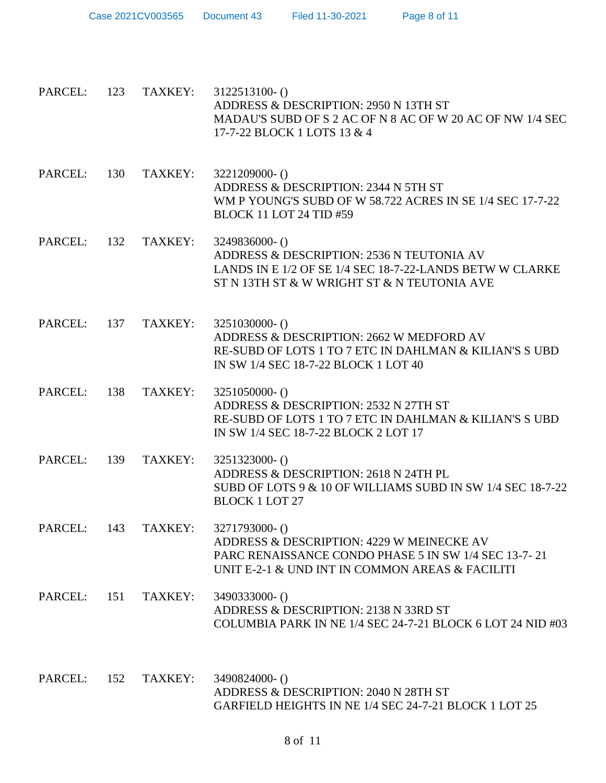| PARCEL:     | 123 | TAXKEY: | $3122513100 - ()$<br>ADDRESS & DESCRIPTION: 2950 N 13TH ST<br>MADAU'S SUBD OF S 2 AC OF N 8 AC OF W 20 AC OF NW 1/4 SEC<br>17-7-22 BLOCK 1 LOTS 13 & 4                |
|-------------|-----|---------|-----------------------------------------------------------------------------------------------------------------------------------------------------------------------|
| PARCEL:     | 130 | TAXKEY: | 3221209000- ()<br>ADDRESS & DESCRIPTION: 2344 N 5TH ST<br>WM P YOUNG'S SUBD OF W 58.722 ACRES IN SE 1/4 SEC 17-7-22<br><b>BLOCK 11 LOT 24 TID #59</b>                 |
| PARCEL:     | 132 | TAXKEY: | 3249836000-()<br>ADDRESS & DESCRIPTION: 2536 N TEUTONIA AV<br>LANDS IN E 1/2 OF SE 1/4 SEC 18-7-22-LANDS BETW W CLARKE<br>ST N 13TH ST & W WRIGHT ST & N TEUTONIA AVE |
| PARCEL:     | 137 | TAXKEY: | 3251030000- ()<br>ADDRESS & DESCRIPTION: 2662 W MEDFORD AV<br>RE-SUBD OF LOTS 1 TO 7 ETC IN DAHLMAN & KILIAN'S SUBD<br>IN SW 1/4 SEC 18-7-22 BLOCK 1 LOT 40           |
| PARCEL:     | 138 | TAXKEY: | 3251050000- ()<br>ADDRESS & DESCRIPTION: 2532 N 27TH ST<br>RE-SUBD OF LOTS 1 TO 7 ETC IN DAHLMAN & KILIAN'S SUBD<br>IN SW 1/4 SEC 18-7-22 BLOCK 2 LOT 17              |
| PARCEL:     | 139 | TAXKEY: | 3251323000- ()<br>ADDRESS & DESCRIPTION: 2618 N 24TH PL<br>SUBD OF LOTS 9 & 10 OF WILLIAMS SUBD IN SW 1/4 SEC 18-7-22<br><b>BLOCK 1 LOT 27</b>                        |
| PARCEL:     | 143 | TAXKEY: | 3271793000-()<br>ADDRESS & DESCRIPTION: 4229 W MEINECKE AV<br>PARC RENAISSANCE CONDO PHASE 5 IN SW 1/4 SEC 13-7-21<br>UNIT E-2-1 & UND INT IN COMMON AREAS & FACILITI |
| PARCEL: 151 |     | TAXKEY: | 3490333000-()<br>ADDRESS & DESCRIPTION: 2138 N 33RD ST<br>COLUMBIA PARK IN NE 1/4 SEC 24-7-21 BLOCK 6 LOT 24 NID #03                                                  |
| PARCEL:     | 152 | TAXKEY: | 3490824000-()<br>ADDRESS & DESCRIPTION: 2040 N 28TH ST<br>GARFIELD HEIGHTS IN NE 1/4 SEC 24-7-21 BLOCK 1 LOT 25                                                       |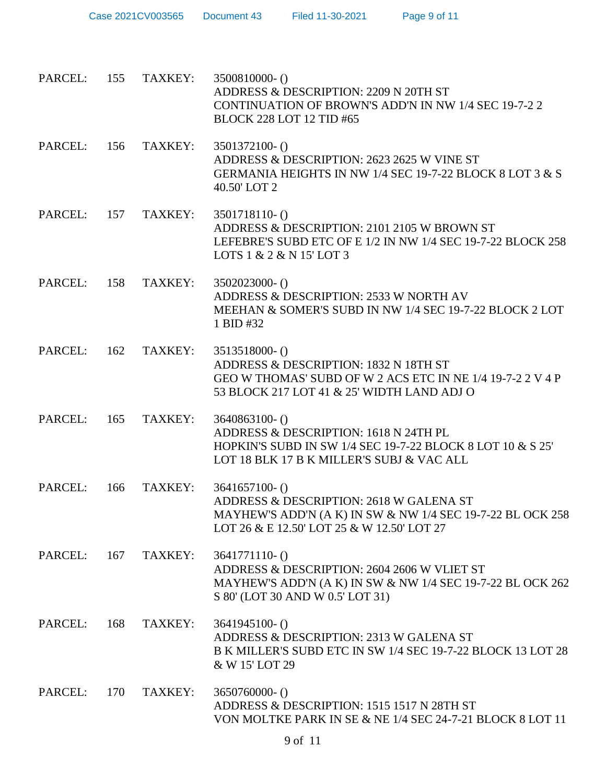| PARCEL: 155 |     | TAXKEY: | 3500810000-0<br>ADDRESS & DESCRIPTION: 2209 N 20TH ST<br>CONTINUATION OF BROWN'S ADD'N IN NW 1/4 SEC 19-7-2 2<br><b>BLOCK 228 LOT 12 TID #65</b>                         |
|-------------|-----|---------|--------------------------------------------------------------------------------------------------------------------------------------------------------------------------|
| PARCEL: 156 |     | TAXKEY: | 3501372100-()<br>ADDRESS & DESCRIPTION: 2623 2625 W VINE ST<br>GERMANIA HEIGHTS IN NW 1/4 SEC 19-7-22 BLOCK 8 LOT 3 & S<br>40.50' LOT 2                                  |
| PARCEL:     | 157 | TAXKEY: | 3501718110-()<br>ADDRESS & DESCRIPTION: 2101 2105 W BROWN ST<br>LEFEBRE'S SUBD ETC OF E 1/2 IN NW 1/4 SEC 19-7-22 BLOCK 258<br>LOTS $1 & 2 & 1$ N $15'$ LOT 3            |
| PARCEL: 158 |     | TAXKEY: | 3502023000- ()<br>ADDRESS & DESCRIPTION: 2533 W NORTH AV<br>MEEHAN & SOMER'S SUBD IN NW 1/4 SEC 19-7-22 BLOCK 2 LOT<br>1 BID #32                                         |
| PARCEL: 162 |     | TAXKEY: | 3513518000-()<br>ADDRESS & DESCRIPTION: 1832 N 18TH ST<br>GEO W THOMAS' SUBD OF W 2 ACS ETC IN NE 1/4 19-7-2 2 V 4 P<br>53 BLOCK 217 LOT 41 & 25' WIDTH LAND ADJ O       |
| PARCEL:     | 165 | TAXKEY: | 3640863100-()<br>ADDRESS & DESCRIPTION: 1618 N 24TH PL<br>HOPKIN'S SUBD IN SW 1/4 SEC 19-7-22 BLOCK 8 LOT 10 & S 25'<br>LOT 18 BLK 17 B K MILLER'S SUBJ & VAC ALL        |
| PARCEL:     | 166 | TAXKEY: | $3641657100 - ()$<br>ADDRESS & DESCRIPTION: 2618 W GALENA ST<br>MAYHEW'S ADD'N (A K) IN SW & NW 1/4 SEC 19-7-22 BL OCK 258<br>LOT 26 & E 12.50' LOT 25 & W 12.50' LOT 27 |
| PARCEL: 167 |     | TAXKEY: | $3641771110-()$<br>ADDRESS & DESCRIPTION: 2604 2606 W VLIET ST<br>MAYHEW'S ADD'N (A K) IN SW & NW 1/4 SEC 19-7-22 BL OCK 262<br>S 80' (LOT 30 AND W 0.5' LOT 31)         |
| PARCEL:     | 168 | TAXKEY: | $3641945100 - ()$<br>ADDRESS & DESCRIPTION: 2313 W GALENA ST<br>B K MILLER'S SUBD ETC IN SW 1/4 SEC 19-7-22 BLOCK 13 LOT 28<br>& W 15' LOT 29                            |
| PARCEL:     | 170 | TAXKEY: | 3650760000- ()<br>ADDRESS & DESCRIPTION: 1515 1517 N 28TH ST<br>VON MOLTKE PARK IN SE & NE 1/4 SEC 24-7-21 BLOCK 8 LOT 11                                                |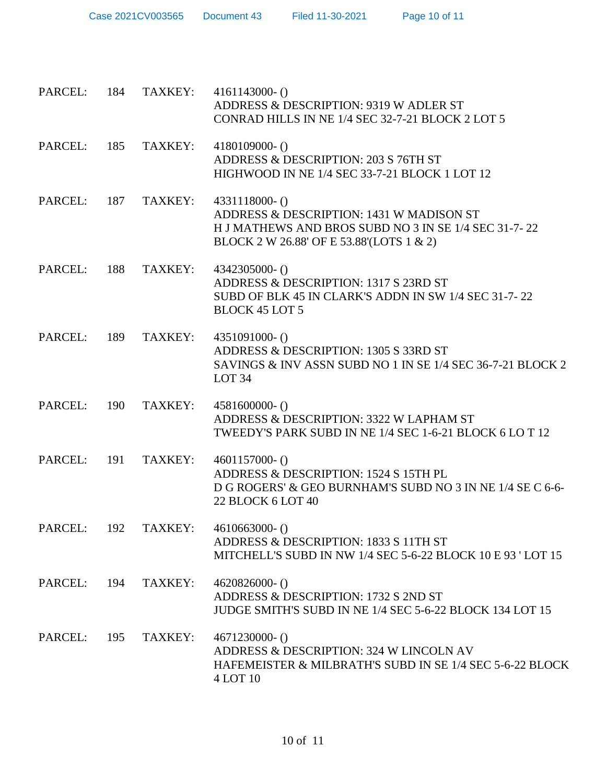| Case 2021CV003565 | Document 43 | Filed 11-30-2021 |
|-------------------|-------------|------------------|
|                   |             |                  |

| PARCEL: 184 |     | TAXKEY: | $4161143000 - ()$<br>ADDRESS & DESCRIPTION: 9319 W ADLER ST<br>CONRAD HILLS IN NE 1/4 SEC 32-7-21 BLOCK 2 LOT 5                                                    |
|-------------|-----|---------|--------------------------------------------------------------------------------------------------------------------------------------------------------------------|
| PARCEL: 185 |     | TAXKEY: | $4180109000 - ()$<br>ADDRESS & DESCRIPTION: 203 S 76TH ST<br>HIGHWOOD IN NE 1/4 SEC 33-7-21 BLOCK 1 LOT 12                                                         |
| PARCEL: 187 |     | TAXKEY: | $4331118000 - ()$<br>ADDRESS & DESCRIPTION: 1431 W MADISON ST<br>H J MATHEWS AND BROS SUBD NO 3 IN SE 1/4 SEC 31-7-22<br>BLOCK 2 W 26.88' OF E 53.88' (LOTS 1 & 2) |
| PARCEL:     | 188 | TAXKEY: | 4342305000-()<br>ADDRESS & DESCRIPTION: 1317 S 23RD ST<br>SUBD OF BLK 45 IN CLARK'S ADDN IN SW 1/4 SEC 31-7-22<br><b>BLOCK 45 LOT 5</b>                            |
| PARCEL: 189 |     | TAXKEY: | 4351091000- ()<br>ADDRESS & DESCRIPTION: 1305 S 33RD ST<br>SAVINGS & INV ASSN SUBD NO 1 IN SE 1/4 SEC 36-7-21 BLOCK 2<br>LOT <sub>34</sub>                         |
| PARCEL:     | 190 | TAXKEY: | $4581600000-()$<br>ADDRESS & DESCRIPTION: 3322 W LAPHAM ST<br>TWEEDY'S PARK SUBD IN NE 1/4 SEC 1-6-21 BLOCK 6 LO T 12                                              |
| PARCEL: 191 |     | TAXKEY: | $4601157000 - ()$<br>ADDRESS & DESCRIPTION: 1524 S 15TH PL<br>D G ROGERS' & GEO BURNHAM'S SUBD NO 3 IN NE 1/4 SE C 6-6-<br>22 BLOCK 6 LOT 40                       |
|             |     |         | PARCEL: 192 TAXKEY: 4610663000-()<br>ADDRESS & DESCRIPTION: 1833 S 11TH ST<br>MITCHELL'S SUBD IN NW 1/4 SEC 5-6-22 BLOCK 10 E 93 'LOT 15                           |
| PARCEL:     | 194 | TAXKEY: | $4620826000 - ()$<br>ADDRESS & DESCRIPTION: 1732 S 2ND ST<br>JUDGE SMITH'S SUBD IN NE 1/4 SEC 5-6-22 BLOCK 134 LOT 15                                              |
| PARCEL:     | 195 | TAXKEY: | $4671230000 - ()$<br>ADDRESS & DESCRIPTION: 324 W LINCOLN AV<br>HAFEMEISTER & MILBRATH'S SUBD IN SE 1/4 SEC 5-6-22 BLOCK<br>4 LOT 10                               |